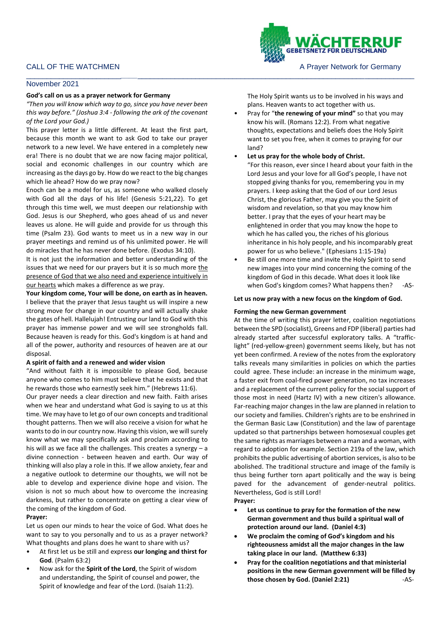# CALL OF THE WATCHMEN **A PRAYER A PRAYER A PRAYER OF STATE OF THE WATCHMEN** A PRAYER A PRAYER MOTOR OF A PRAYER OF GERMANY

#### \_\_\_\_\_\_\_\_\_\_\_\_\_\_\_\_\_\_\_\_\_\_\_*\_\_\_\_*\_\_\_\_\_\_\_\_\_\_\_\_\_\_\_\_\_\_\_\_\_\_\_\_\_\_\_\_\_\_\_\_\_\_\_\_\_\_\_\_\_\_\_\_\_\_\_\_\_\_\_\_\_\_\_\_\_\_\_\_\_\_\_\_\_\_\_ November 2021

### **God's call on us as a prayer network for Germany**

*"Then you will know which way to go, since you have never been this way before." (Joshua 3:4 - following the ark of the covenant of the Lord your God.)*

This prayer letter is a little different. At least the first part, because this month we want to ask God to take our prayer network to a new level. We have entered in a completely new era! There is no doubt that we are now facing major political, social and economic challenges in our country which are increasing as the days go by. How do we react to the big changes which lie ahead? How do we pray now?

Enoch can be a model for us, as someone who walked closely with God all the days of his life! (Genesis 5:21,22). To get through this time well, we must deepen our relationship with God. Jesus is our Shepherd, who goes ahead of us and never leaves us alone. He will guide and provide for us through this time (Psalm 23). God wants to meet us in a new way in our prayer meetings and remind us of his unlimited power. He will do miracles that he has never done before. (Exodus 34:10).

It is not just the information and better understanding of the issues that we need for our prayers but it is so much more the presence of God that we also need and experience intuitively in our hearts which makes a difference as we pray.

**Your kingdom come, Your will be done, on earth as in heaven.**  I believe that the prayer that Jesus taught us will inspire a new strong move for change in our country and will actually shake the gates of hell. Hallelujah! Entrusting our land to God with this prayer has immense power and we will see strongholds fall. Because heaven is ready for this. God's kingdom is at hand and all of the power, authority and resources of heaven are at our disposal.

### **A spirit of faith and a renewed and wider vision**

"And without faith it is impossible to please God, because anyone who comes to him must believe that he exists and that he rewards those who earnestly seek him." (Hebrews 11:6).

Our prayer needs a clear direction and new faith. Faith arises when we hear and understand what God is saying to us at this time. We may have to let go of our own concepts and traditional thought patterns. Then we will also receive a vision for what he wants to do in our country now. Having this vision, we will surely know what we may specifically ask and proclaim according to his will as we face all the challenges. This creates a synergy – a divine connection - between heaven and earth. Our way of thinking will also play a role in this. If we allow anxiety, fear and a negative outlook to determine our thoughts, we will not be able to develop and experience divine hope and vision. The vision is not so much about how to overcome the increasing darkness, but rather to concentrate on getting a clear view of the coming of the kingdom of God.

### **Prayer:**

Let us open our minds to hear the voice of God. What does he want to say to you personally and to us as a prayer network? What thoughts and plans does he want to share with us?

- At first let us be still and express **our longing and thirst for God**. (Psalm 63:2)
- Now ask for the **Spirit of the Lord**, the Spirit of wisdom and understanding, the Spirit of counsel and power, the Spirit of knowledge and fear of the Lord. (Isaiah 11:2).

The Holy Spirit wants us to be involved in his ways and plans. Heaven wants to act together with us.

- Pray for "**the renewing of your mind"** so that you may know his will. (Romans 12:2). From what negative thoughts, expectations and beliefs does the Holy Spirit want to set you free, when it comes to praying for our land?
- Let us pray for the whole body of Christ.
- "For this reason, ever since I heard about your faith in the Lord Jesus and your love for all God's people, I have not stopped giving thanks for you, remembering you in my prayers. I keep asking that the God of our Lord Jesus Christ, the glorious Father, may give you the Spirit of wisdom and revelation, so that you may know him better. I pray that the eyes of your heart may be enlightened in order that you may know the hope to which he has called you, the riches of his glorious inheritance in his holy people, and his incomparably great power for us who believe." (Ephesians 1:15-19a)
- Be still one more time and invite the Holy Spirit to send new images into your mind concerning the coming of the kingdom of God in this decade. What does it look like when God's kingdom comes? What happens then? -AS-

## **Let us now pray with a new focus on the kingdom of God.**

## **Forming the new German government**

At the time of writing this prayer letter, coalition negotiations between the SPD (socialist), Greens and FDP (liberal) parties had already started after successful exploratory talks. A "trafficlight" (red-yellow-green) government seems likely, but has not yet been confirmed. A review of the notes from the exploratory talks reveals many similarities in policies on which the parties could agree. These include: an increase in the minimum wage, a faster exit from coal-fired power generation, no tax increases and a replacement of the current policy for the social support of those most in need (Hartz IV) with a new citizen's allowance. Far-reaching major changes in the law are planned in relation to our society and families. Children's rights are to be enshrined in the German Basic Law (Constitution) and the law of parentage updated so that partnerships between homosexual couples get the same rights as marriages between a man and a woman, with regard to adoption for example. Section 219a of the law, which prohibits the public advertising of abortion services, is also to be abolished. The traditional structure and image of the family is thus being further torn apart politically and the way is being paved for the advancement of gender-neutral politics. Nevertheless, God is still Lord! **Prayer:**

- 
- Let us continue to pray for the formation of the new **German government and thus build a spiritual wall of protection around our land. (Daniel 4:3)**
- **We proclaim the coming of God's kingdom and his righteousness amidst all the major changes in the law taking place in our land. (Matthew 6:33)**
- **Pray for the coalition negotiations and that ministerial positions in the new German government will be filled by those chosen by God. (Daniel 2:21)** -AS-